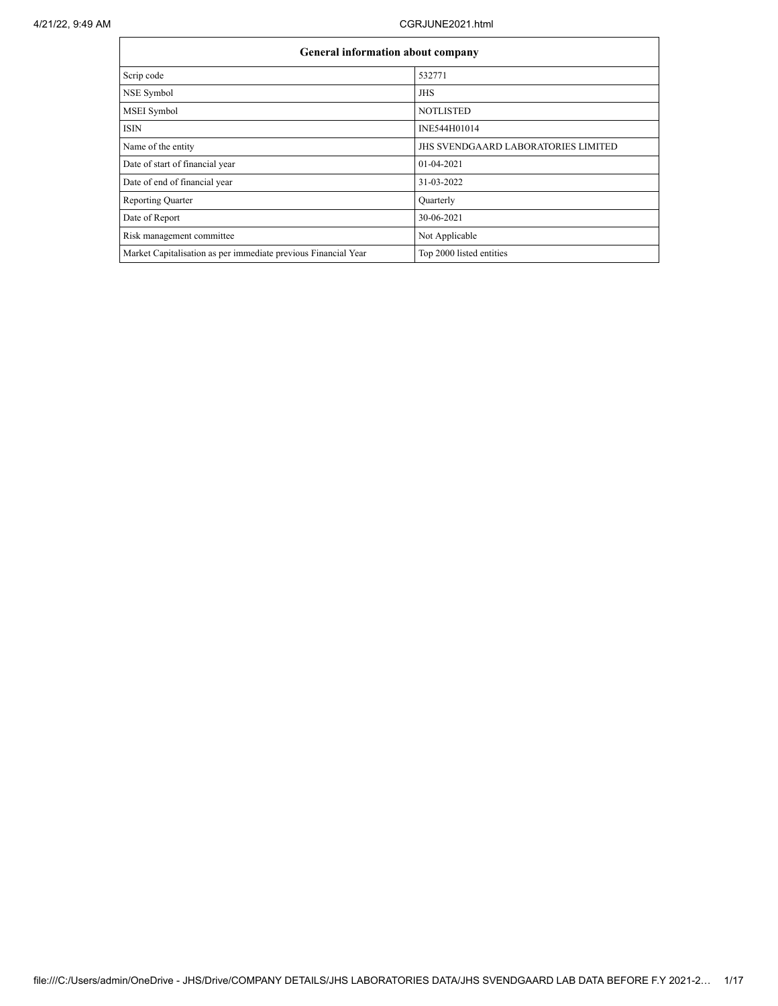|                                                                | <b>General information about company</b>   |  |  |  |  |  |  |  |  |
|----------------------------------------------------------------|--------------------------------------------|--|--|--|--|--|--|--|--|
| Scrip code                                                     | 532771                                     |  |  |  |  |  |  |  |  |
| NSE Symbol                                                     | JHS                                        |  |  |  |  |  |  |  |  |
| MSEI Symbol                                                    | <b>NOTLISTED</b>                           |  |  |  |  |  |  |  |  |
| <b>ISIN</b>                                                    | INE544H01014                               |  |  |  |  |  |  |  |  |
| Name of the entity                                             | <b>JHS SVENDGAARD LABORATORIES LIMITED</b> |  |  |  |  |  |  |  |  |
| Date of start of financial year                                | 01-04-2021                                 |  |  |  |  |  |  |  |  |
| Date of end of financial year                                  | 31-03-2022                                 |  |  |  |  |  |  |  |  |
| <b>Reporting Quarter</b>                                       | Quarterly                                  |  |  |  |  |  |  |  |  |
| Date of Report                                                 | 30-06-2021                                 |  |  |  |  |  |  |  |  |
| Risk management committee                                      | Not Applicable                             |  |  |  |  |  |  |  |  |
| Market Capitalisation as per immediate previous Financial Year | Top 2000 listed entities                   |  |  |  |  |  |  |  |  |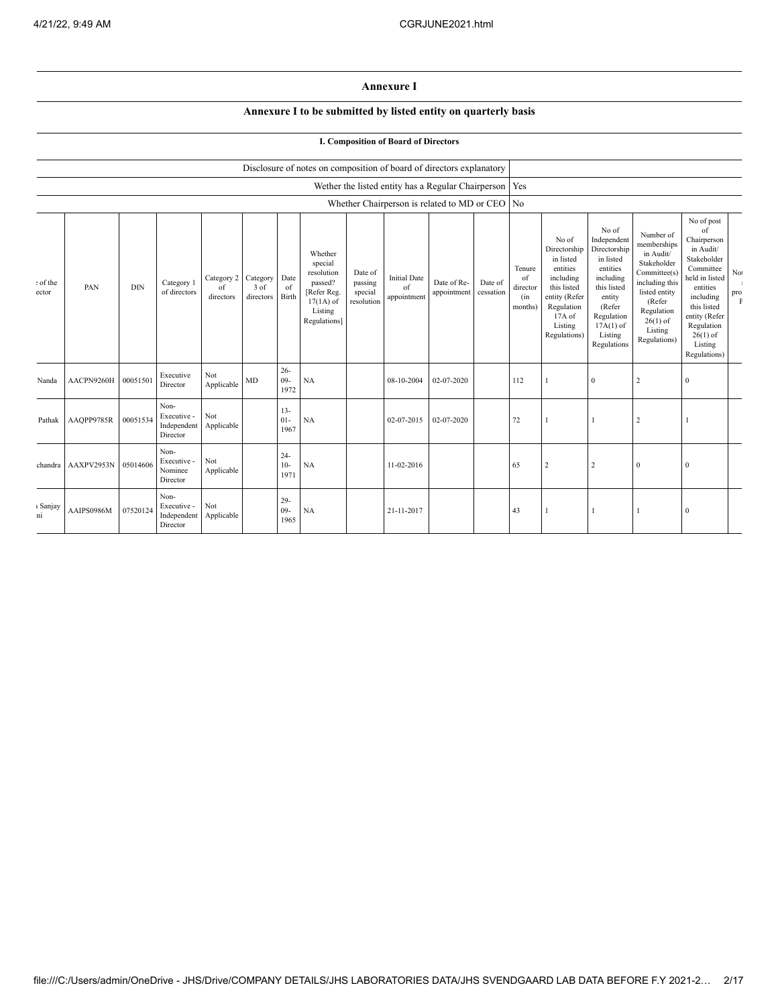## **Annexure I**

## **Annexure I to be submitted by listed entity on quarterly basis**

## **I. Composition of Board of Directors**

|                   |            |            |                                                |                               |                               |                          | Disclosure of notes on composition of board of directors explanatory                                 |                                             |                                          |                                                        |                      |                                            |                                                                                                                                                |                                                                                                                                                                      |                                                                                                                                                                          |                                                                                                                                                                                                            |                              |
|-------------------|------------|------------|------------------------------------------------|-------------------------------|-------------------------------|--------------------------|------------------------------------------------------------------------------------------------------|---------------------------------------------|------------------------------------------|--------------------------------------------------------|----------------------|--------------------------------------------|------------------------------------------------------------------------------------------------------------------------------------------------|----------------------------------------------------------------------------------------------------------------------------------------------------------------------|--------------------------------------------------------------------------------------------------------------------------------------------------------------------------|------------------------------------------------------------------------------------------------------------------------------------------------------------------------------------------------------------|------------------------------|
|                   |            |            |                                                |                               |                               |                          |                                                                                                      |                                             |                                          | Wether the listed entity has a Regular Chairperson Yes |                      |                                            |                                                                                                                                                |                                                                                                                                                                      |                                                                                                                                                                          |                                                                                                                                                                                                            |                              |
|                   |            |            |                                                |                               |                               |                          |                                                                                                      |                                             |                                          | Whether Chairperson is related to MD or CEO   No       |                      |                                            |                                                                                                                                                |                                                                                                                                                                      |                                                                                                                                                                          |                                                                                                                                                                                                            |                              |
| : of the<br>ector | PAN        | <b>DIN</b> | Category 1<br>of directors                     | Category 2<br>of<br>directors | Category<br>3 of<br>directors | Date<br>of<br>Birth      | Whether<br>special<br>resolution<br>passed?<br>[Refer Reg.<br>$17(1A)$ of<br>Listing<br>Regulations] | Date of<br>passing<br>special<br>resolution | <b>Initial Date</b><br>of<br>appointment | Date of Re-<br>appointment                             | Date of<br>cessation | Tenure<br>of<br>director<br>(in<br>months) | No of<br>Directorship<br>in listed<br>entities<br>including<br>this listed<br>entity (Refer<br>Regulation<br>17A of<br>Listing<br>Regulations) | No of<br>Independent<br>Directorship<br>in listed<br>entities<br>including<br>this listed<br>entity<br>(Refer<br>Regulation<br>$17A(1)$ of<br>Listing<br>Regulations | Number of<br>memberships<br>in Audit/<br>Stakeholder<br>Committee(s)<br>including this<br>listed entity<br>(Refer<br>Regulation<br>$26(1)$ of<br>Listing<br>Regulations) | No of post<br>of<br>Chairperson<br>in Audit/<br>Stakeholder<br>Committee<br>held in listed<br>entities<br>including<br>this listed<br>entity (Refer<br>Regulation<br>$26(1)$ of<br>Listing<br>Regulations) | No<br>$_{\rm pro}^{\rm pro}$ |
| Nanda             | AACPN9260H | 00051501   | Executive<br>Director                          | Not<br>Applicable             | <b>MD</b>                     | $26 -$<br>$09 -$<br>1972 | <b>NA</b>                                                                                            |                                             | 08-10-2004                               | 02-07-2020                                             |                      | 112                                        |                                                                                                                                                | $\mathbf{0}$                                                                                                                                                         | 2                                                                                                                                                                        | $\mathbf{0}$                                                                                                                                                                                               |                              |
| Pathak            | AAQPP9785R | 00051534   | Non-<br>Executive -<br>Independent<br>Director | Not<br>Applicable             |                               | $13 -$<br>$01 -$<br>1967 | <b>NA</b>                                                                                            |                                             | 02-07-2015                               | 02-07-2020                                             |                      | 72                                         |                                                                                                                                                | $\overline{1}$                                                                                                                                                       | 2                                                                                                                                                                        | 1                                                                                                                                                                                                          |                              |
| chandra           | AAXPV2953N | 05014606   | Non-<br>Executive -<br>Nominee<br>Director     | Not<br>Applicable             |                               | $24 -$<br>$10-$<br>1971  | NA                                                                                                   |                                             | 11-02-2016                               |                                                        |                      | 65                                         | $\overline{c}$                                                                                                                                 | $\overline{c}$                                                                                                                                                       | $\mathbf{0}$                                                                                                                                                             | $\bf{0}$                                                                                                                                                                                                   |                              |
| ı Sanjay<br>ni    | AAIPS0986M | 07520124   | Non-<br>Executive -<br>Independent<br>Director | Not<br>Applicable             |                               | $29 -$<br>$09 -$<br>1965 | NA                                                                                                   |                                             | 21-11-2017                               |                                                        |                      | 43                                         |                                                                                                                                                | $\overline{1}$                                                                                                                                                       |                                                                                                                                                                          | $\mathbf{0}$                                                                                                                                                                                               |                              |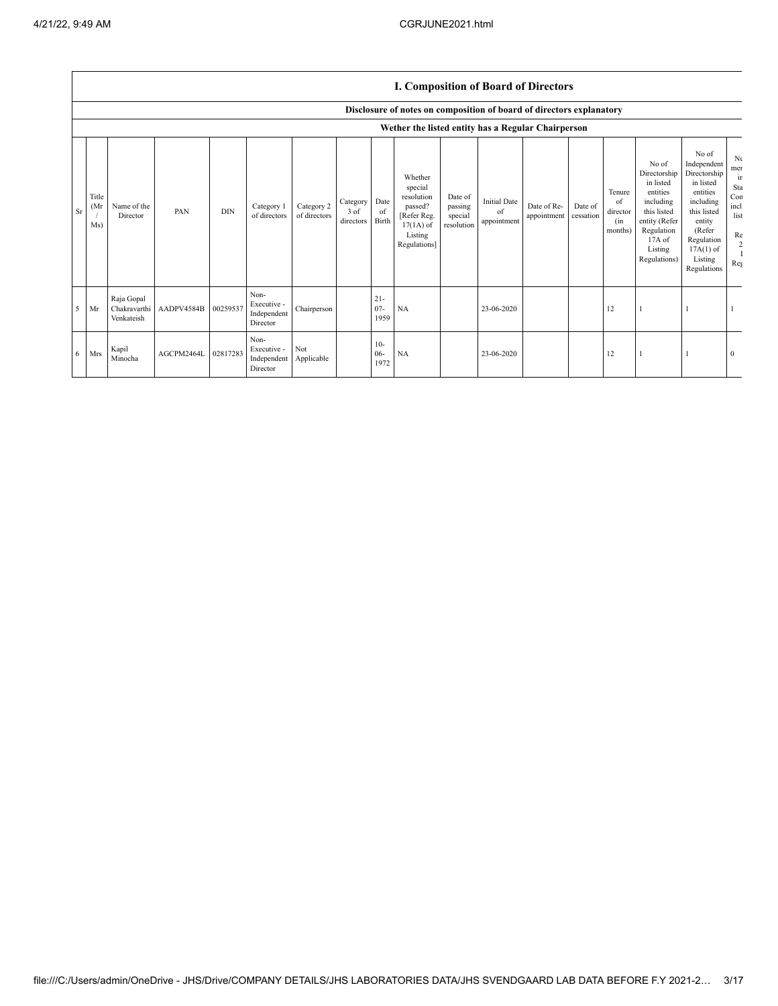## **I. Composition of Board of Directors**

|           |                      |                                          |            |            |                                                           |                            |                               |                          | Disclosure of notes on composition of board of directors explanatory                                 |                                             |                                          |                            |                      |                                            |                                                                                                                                                |                                                                                                                                                                      |                                                                 |
|-----------|----------------------|------------------------------------------|------------|------------|-----------------------------------------------------------|----------------------------|-------------------------------|--------------------------|------------------------------------------------------------------------------------------------------|---------------------------------------------|------------------------------------------|----------------------------|----------------------|--------------------------------------------|------------------------------------------------------------------------------------------------------------------------------------------------|----------------------------------------------------------------------------------------------------------------------------------------------------------------------|-----------------------------------------------------------------|
|           |                      |                                          |            |            |                                                           |                            |                               |                          | Wether the listed entity has a Regular Chairperson                                                   |                                             |                                          |                            |                      |                                            |                                                                                                                                                |                                                                                                                                                                      |                                                                 |
| <b>Sr</b> | Title<br>(Mr)<br>Ms) | Name of the<br>Director                  | PAN        | <b>DIN</b> | Category 1<br>of directors                                | Category 2<br>of directors | Category<br>3 of<br>directors | Date<br>of<br>Birth      | Whether<br>special<br>resolution<br>passed?<br>[Refer Reg.<br>$17(1A)$ of<br>Listing<br>Regulations] | Date of<br>passing<br>special<br>resolution | <b>Initial Date</b><br>of<br>appointment | Date of Re-<br>appointment | Date of<br>cessation | Tenure<br>of<br>director<br>(in<br>months) | No of<br>Directorship<br>in listed<br>entities<br>including<br>this listed<br>entity (Refer<br>Regulation<br>17A of<br>Listing<br>Regulations) | No of<br>Independent<br>Directorship<br>in listed<br>entities<br>including<br>this listed<br>entity<br>(Refer<br>Regulation<br>$17A(1)$ of<br>Listing<br>Regulations | Nι<br>mer<br>ir<br>Sta<br>Con<br>incl<br>list<br>Re<br>2<br>Reg |
| $5$ Mr    |                      | Raja Gopal<br>Chakravarthi<br>Venkateish | AADPV4584B | 00259537   | Non-<br>Executive -<br>Independent<br>Director            | Chairperson                |                               | $21 -$<br>$07 -$<br>1959 | NA                                                                                                   |                                             | 23-06-2020                               |                            |                      | 12                                         |                                                                                                                                                |                                                                                                                                                                      |                                                                 |
|           | $6$ Mrs              | Kapil<br>Minocha                         | AGCPM2464L | 02817283   | Non-<br>Executive -<br>Independent Applicable<br>Director | Not                        |                               | $10-$<br>$06 -$<br>1972  | NA                                                                                                   |                                             | 23-06-2020                               |                            |                      | 12                                         |                                                                                                                                                |                                                                                                                                                                      | $\mathbf{0}$                                                    |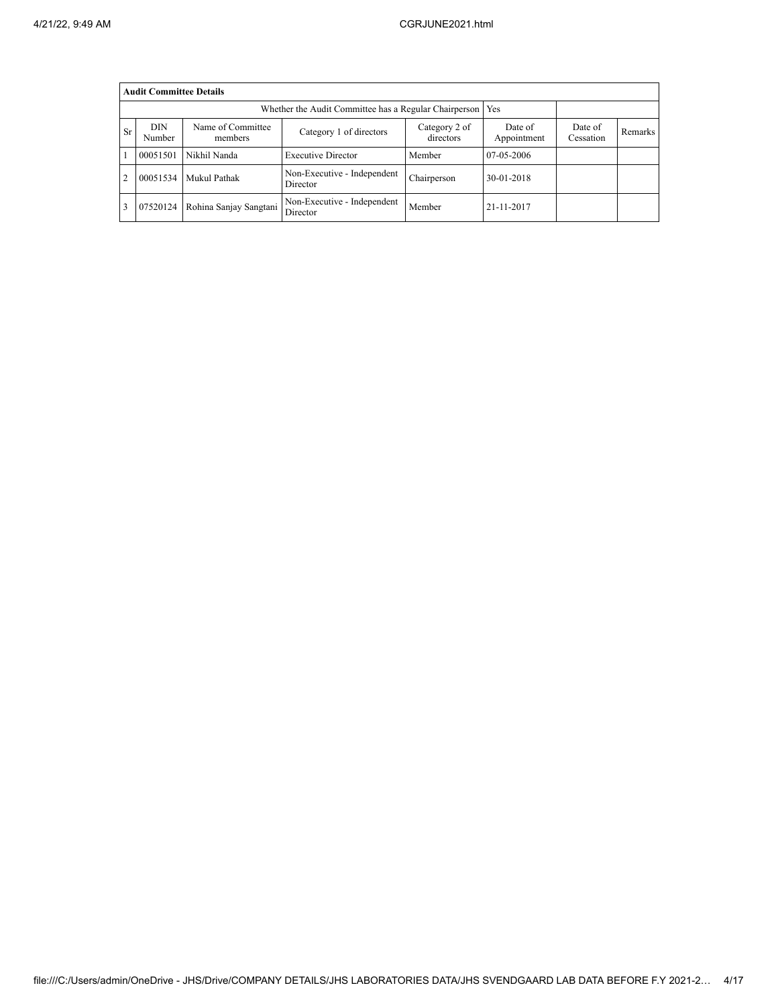|                | <b>Audit Committee Details</b> |                              |                                                       |                            |                        |                      |         |  |  |  |
|----------------|--------------------------------|------------------------------|-------------------------------------------------------|----------------------------|------------------------|----------------------|---------|--|--|--|
|                |                                |                              | Whether the Audit Committee has a Regular Chairperson |                            | Yes                    |                      |         |  |  |  |
| <b>Sr</b>      | <b>DIN</b><br>Number           | Name of Committee<br>members | Category 1 of directors                               | Category 2 of<br>directors | Date of<br>Appointment | Date of<br>Cessation | Remarks |  |  |  |
|                | 00051501                       | Nikhil Nanda                 | <b>Executive Director</b>                             | Member                     | 07-05-2006             |                      |         |  |  |  |
| $\overline{2}$ | 00051534                       | Mukul Pathak                 | Non-Executive - Independent<br>Director               | Chairperson                | 30-01-2018             |                      |         |  |  |  |
| 3              | 07520124                       | Rohina Sanjay Sangtani       | Non-Executive - Independent<br>Director               | Member                     | 21-11-2017             |                      |         |  |  |  |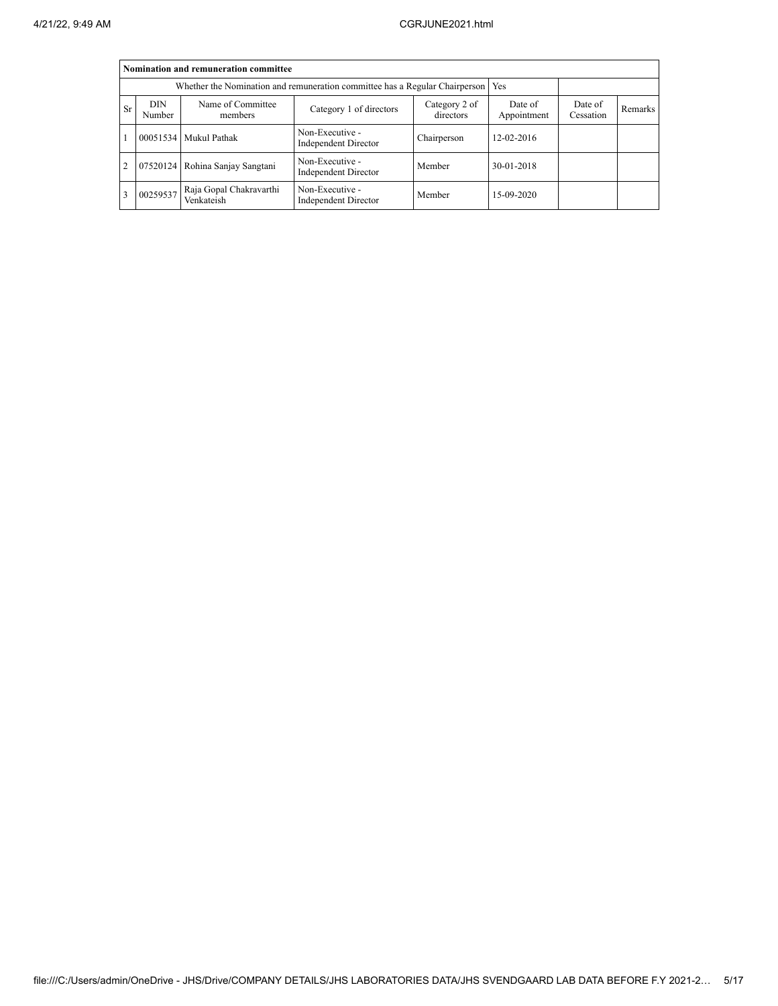|    |                      | Nomination and remuneration committee |                                                                                   |                            |                        |                      |         |
|----|----------------------|---------------------------------------|-----------------------------------------------------------------------------------|----------------------------|------------------------|----------------------|---------|
|    |                      |                                       | Whether the Nomination and remuneration committee has a Regular Chairperson   Yes |                            |                        |                      |         |
| Sr | <b>DIN</b><br>Number | Name of Committee<br>members          | Category 1 of directors                                                           | Category 2 of<br>directors | Date of<br>Appointment | Date of<br>Cessation | Remarks |
|    |                      | 00051534 Mukul Pathak                 | Non-Executive -<br>Independent Director                                           | Chairperson                | 12-02-2016             |                      |         |
| 2  |                      | 07520124 Rohina Sanjay Sangtani       | Non-Executive -<br><b>Independent Director</b>                                    | Member                     | 30-01-2018             |                      |         |
| 3  | 00259537             | Raja Gopal Chakravarthi<br>Venkateish | Non-Executive -<br>Independent Director                                           | Member                     | 15-09-2020             |                      |         |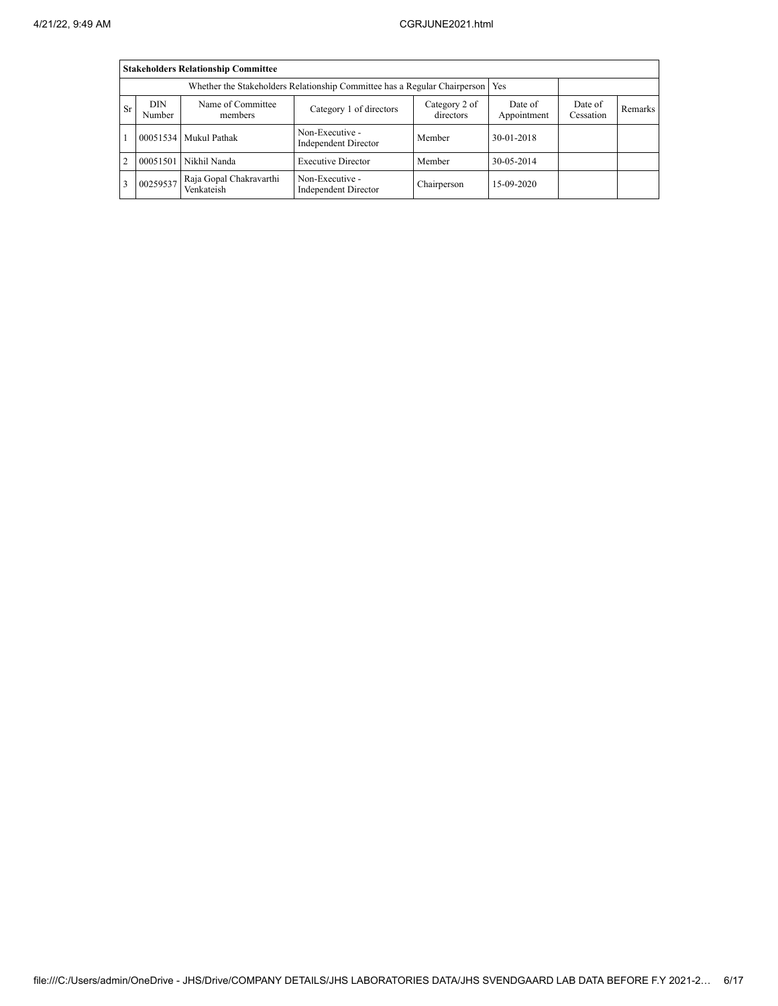|                | <b>Stakeholders Relationship Committee</b>                                       |                                       |                                                |                            |                        |                      |         |  |  |  |  |
|----------------|----------------------------------------------------------------------------------|---------------------------------------|------------------------------------------------|----------------------------|------------------------|----------------------|---------|--|--|--|--|
|                | Whether the Stakeholders Relationship Committee has a Regular Chairperson<br>Yes |                                       |                                                |                            |                        |                      |         |  |  |  |  |
| Sr             | <b>DIN</b><br>Number                                                             | Name of Committee<br>members          | Category 1 of directors                        | Category 2 of<br>directors | Date of<br>Appointment | Date of<br>Cessation | Remarks |  |  |  |  |
|                |                                                                                  | 00051534 Mukul Pathak                 | Non-Executive -<br>Independent Director        | Member                     | 30-01-2018             |                      |         |  |  |  |  |
| $\overline{2}$ | 00051501                                                                         | Nikhil Nanda                          | <b>Executive Director</b>                      | Member                     | 30-05-2014             |                      |         |  |  |  |  |
| 3              | 00259537                                                                         | Raja Gopal Chakravarthi<br>Venkateish | Non-Executive -<br><b>Independent Director</b> | Chairperson                | 15-09-2020             |                      |         |  |  |  |  |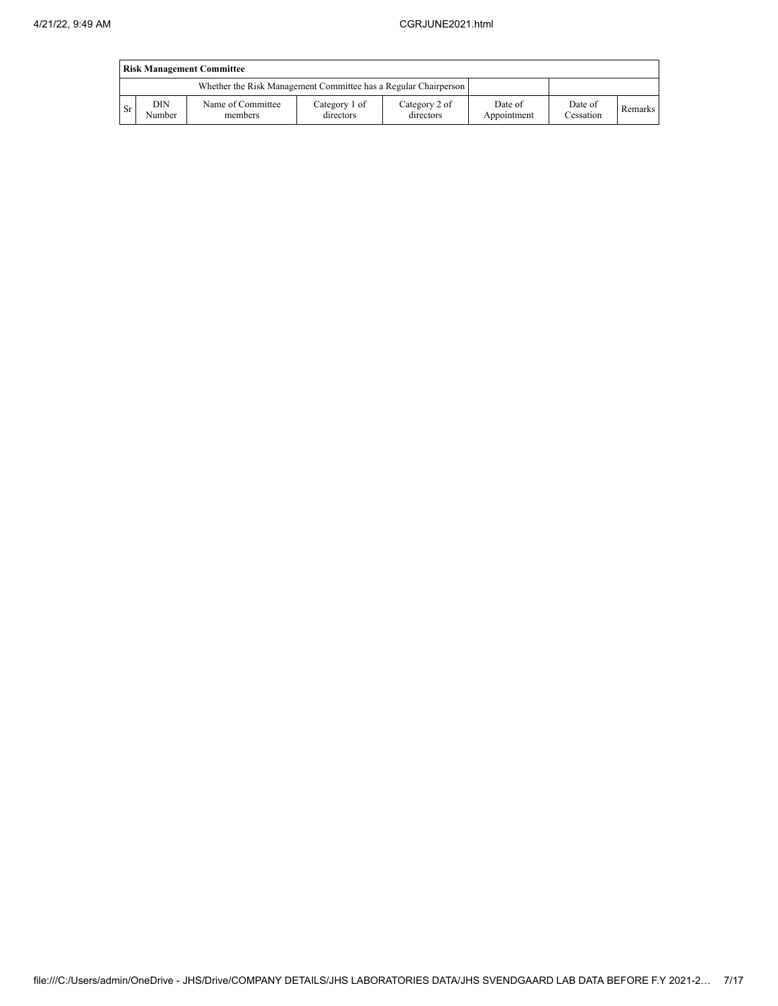|      | <b>Risk Management Committee</b> |                                                                 |                            |                            |                        |                      |                |  |  |  |  |
|------|----------------------------------|-----------------------------------------------------------------|----------------------------|----------------------------|------------------------|----------------------|----------------|--|--|--|--|
|      |                                  | Whether the Risk Management Committee has a Regular Chairperson |                            |                            |                        |                      |                |  |  |  |  |
| - Sr | DIN<br>Number                    | Name of Committee<br>members                                    | Category 1 of<br>directors | Category 2 of<br>directors | Date of<br>Appointment | Date of<br>Cessation | <b>Remarks</b> |  |  |  |  |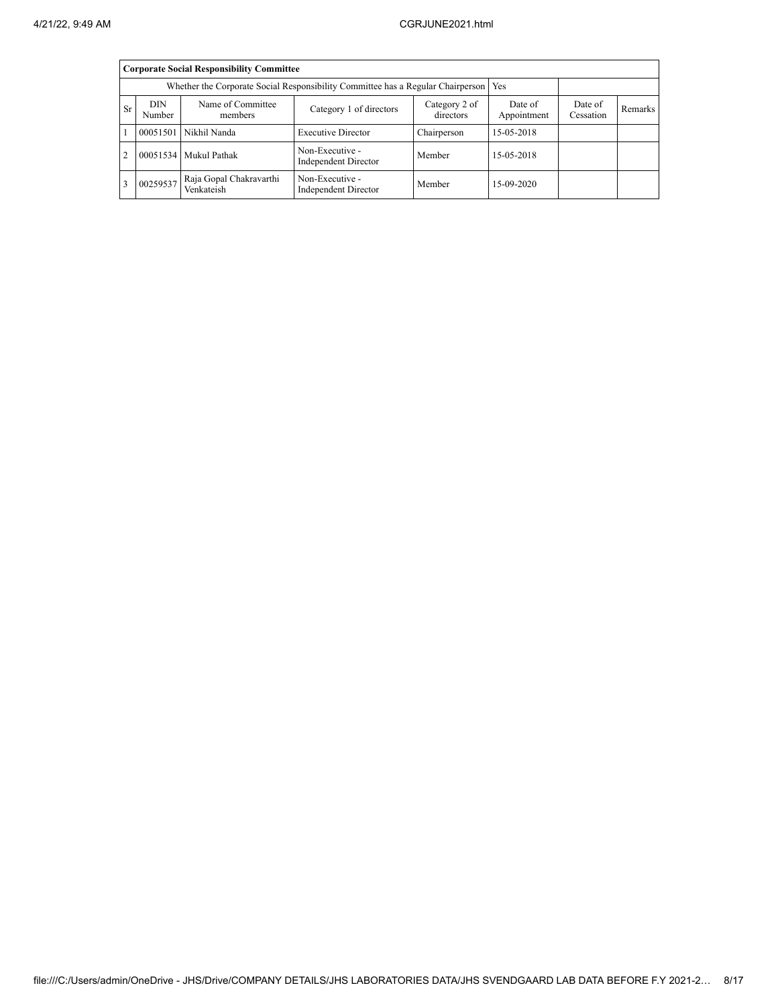|                | <b>Corporate Social Responsibility Committee</b>                                      |                                       |                                                |                            |                        |                      |         |  |  |  |  |
|----------------|---------------------------------------------------------------------------------------|---------------------------------------|------------------------------------------------|----------------------------|------------------------|----------------------|---------|--|--|--|--|
|                | Whether the Corporate Social Responsibility Committee has a Regular Chairperson   Yes |                                       |                                                |                            |                        |                      |         |  |  |  |  |
| Sr             | <b>DIN</b><br>Number                                                                  | Name of Committee<br>members          | Category 1 of directors                        | Category 2 of<br>directors | Date of<br>Appointment | Date of<br>Cessation | Remarks |  |  |  |  |
|                |                                                                                       | 00051501 Nikhil Nanda                 | <b>Executive Director</b>                      | Chairperson                | 15-05-2018             |                      |         |  |  |  |  |
| $\overline{2}$ |                                                                                       | 00051534 Mukul Pathak                 | Non-Executive -<br>Independent Director        | Member                     | 15-05-2018             |                      |         |  |  |  |  |
| 3              | 00259537                                                                              | Raja Gopal Chakravarthi<br>Venkateish | Non-Executive -<br><b>Independent Director</b> | Member                     | 15-09-2020             |                      |         |  |  |  |  |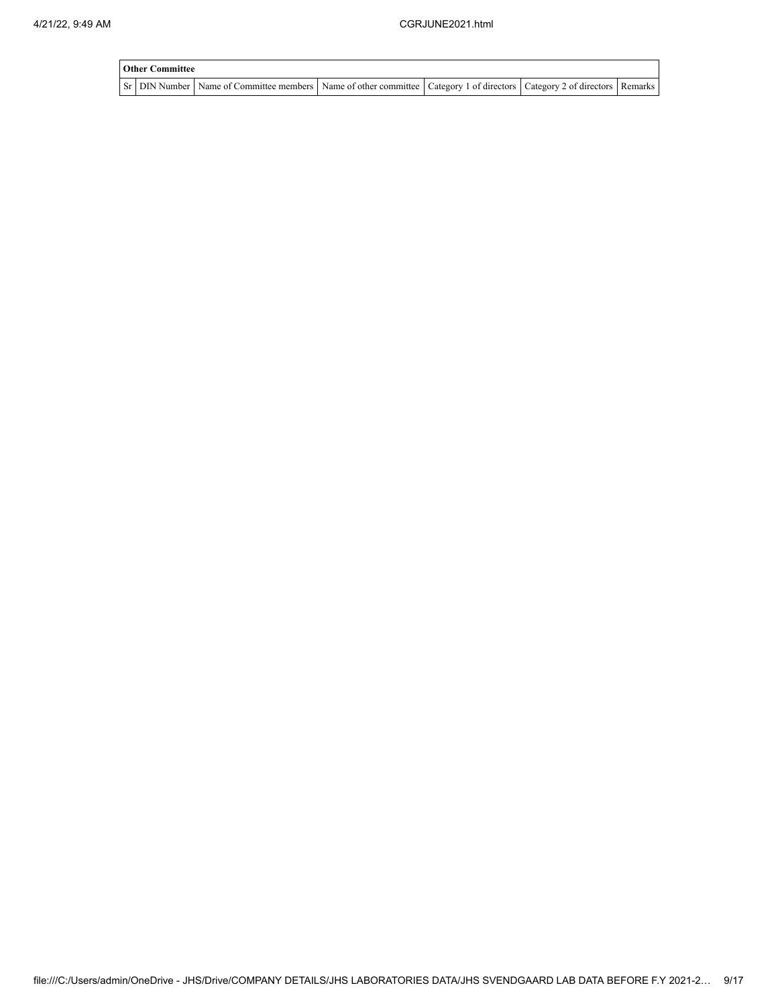| <b>Other Committee</b> |                                                                                                                         |  |  |  |  |  |  |  |  |  |
|------------------------|-------------------------------------------------------------------------------------------------------------------------|--|--|--|--|--|--|--|--|--|
|                        | Sr DIN Number Name of Committee members Name of other committee Category 1 of directors Category 2 of directors Remarks |  |  |  |  |  |  |  |  |  |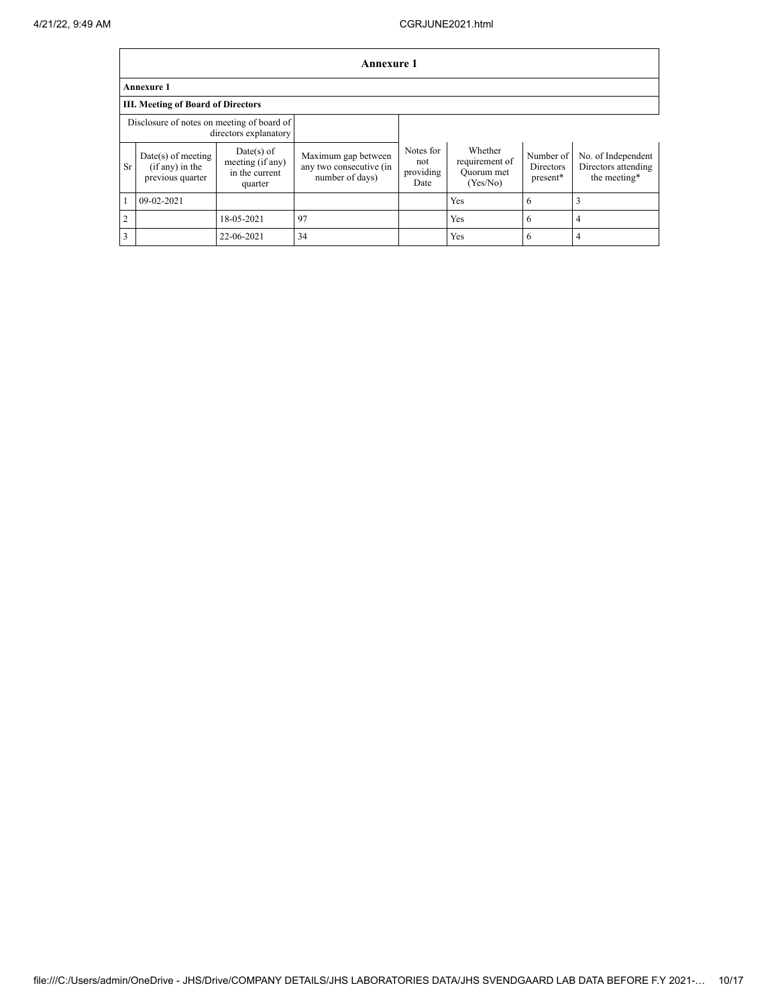|                | <b>Annexure 1</b>                                                   |                                                               |                                                                   |                                       |                                                     |                                           |                                                           |  |  |  |  |
|----------------|---------------------------------------------------------------------|---------------------------------------------------------------|-------------------------------------------------------------------|---------------------------------------|-----------------------------------------------------|-------------------------------------------|-----------------------------------------------------------|--|--|--|--|
|                | <b>Annexure 1</b>                                                   |                                                               |                                                                   |                                       |                                                     |                                           |                                                           |  |  |  |  |
|                | <b>III. Meeting of Board of Directors</b>                           |                                                               |                                                                   |                                       |                                                     |                                           |                                                           |  |  |  |  |
|                | Disclosure of notes on meeting of board of<br>directors explanatory |                                                               |                                                                   |                                       |                                                     |                                           |                                                           |  |  |  |  |
| Sr             | $Date(s)$ of meeting<br>$(if any)$ in the<br>previous quarter       | $Date(s)$ of<br>meeting (if any)<br>in the current<br>quarter | Maximum gap between<br>any two consecutive (in<br>number of days) | Notes for<br>not<br>providing<br>Date | Whether<br>requirement of<br>Quorum met<br>(Yes/No) | Number of<br><b>Directors</b><br>present* | No. of Independent<br>Directors attending<br>the meeting* |  |  |  |  |
|                | 09-02-2021                                                          |                                                               |                                                                   |                                       | Yes                                                 | 6                                         | 3                                                         |  |  |  |  |
| $\overline{2}$ |                                                                     | 18-05-2021                                                    | 97                                                                |                                       | <b>Yes</b>                                          | 6                                         | 4                                                         |  |  |  |  |
| 3              |                                                                     | 22-06-2021                                                    | 34                                                                |                                       | Yes                                                 | 6                                         | 4                                                         |  |  |  |  |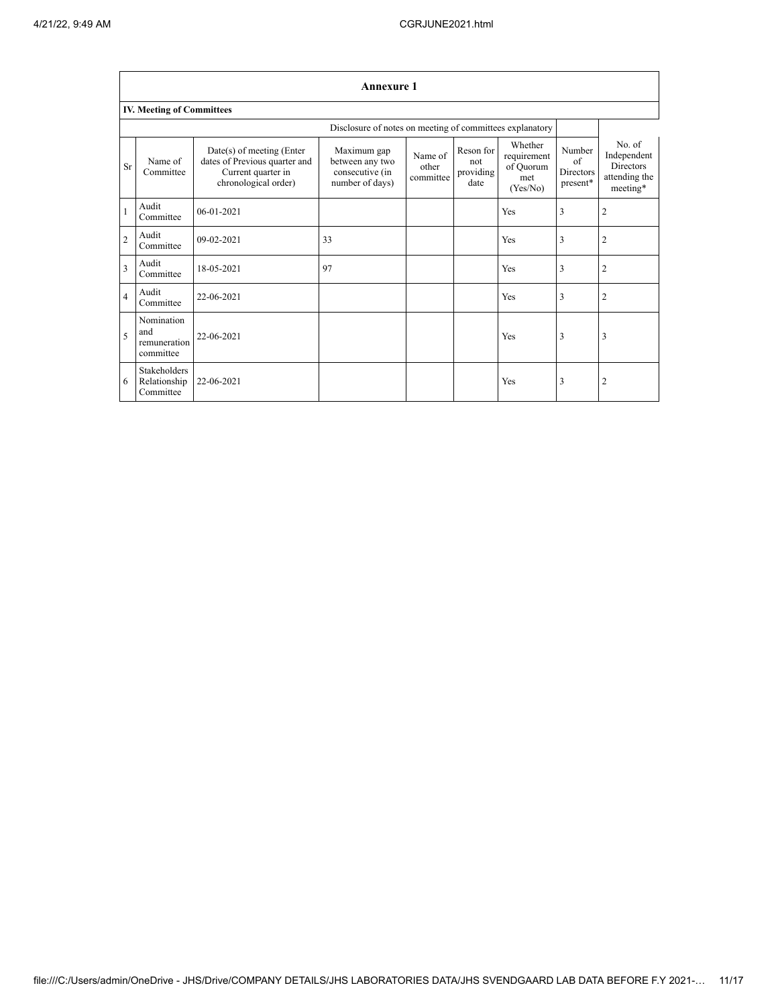|                          | <b>Annexure 1</b>                                |                                                                                                            |                                                                      |                               |                                       |                                                        |                                                      |                                                                        |  |  |  |
|--------------------------|--------------------------------------------------|------------------------------------------------------------------------------------------------------------|----------------------------------------------------------------------|-------------------------------|---------------------------------------|--------------------------------------------------------|------------------------------------------------------|------------------------------------------------------------------------|--|--|--|
|                          | <b>IV. Meeting of Committees</b>                 |                                                                                                            |                                                                      |                               |                                       |                                                        |                                                      |                                                                        |  |  |  |
|                          |                                                  |                                                                                                            |                                                                      |                               |                                       |                                                        |                                                      |                                                                        |  |  |  |
| <b>Sr</b>                | Name of<br>Committee                             | $Date(s)$ of meeting (Enter<br>dates of Previous quarter and<br>Current quarter in<br>chronological order) | Maximum gap<br>between any two<br>consecutive (in<br>number of days) | Name of<br>other<br>committee | Reson for<br>not<br>providing<br>date | Whether<br>requirement<br>of Quorum<br>met<br>(Yes/No) | Number<br>$\sigma$ f<br><b>Directors</b><br>present* | No. of<br>Independent<br><b>Directors</b><br>attending the<br>meeting* |  |  |  |
| $\mathbf{1}$             | Audit<br>Committee                               | $06 - 01 - 2021$                                                                                           |                                                                      |                               |                                       | Yes                                                    | 3                                                    | $\overline{2}$                                                         |  |  |  |
| $\overline{c}$           | Audit<br>Committee                               | 09-02-2021                                                                                                 | 33                                                                   |                               |                                       | Yes                                                    | 3                                                    | $\overline{2}$                                                         |  |  |  |
| 3                        | Audit<br>Committee                               | 18-05-2021                                                                                                 | 97                                                                   |                               |                                       | Yes                                                    | 3                                                    | $\overline{2}$                                                         |  |  |  |
| $\overline{4}$           | Audit<br>Committee                               | 22-06-2021                                                                                                 |                                                                      |                               |                                       | Yes                                                    | 3                                                    | $\overline{2}$                                                         |  |  |  |
| $\overline{\phantom{0}}$ | Nomination<br>and<br>remuneration<br>committee   | 22-06-2021                                                                                                 |                                                                      |                               |                                       | Yes                                                    | 3                                                    | 3                                                                      |  |  |  |
| 6                        | <b>Stakeholders</b><br>Relationship<br>Committee | 22-06-2021                                                                                                 |                                                                      |                               |                                       | Yes                                                    | 3                                                    | $\overline{2}$                                                         |  |  |  |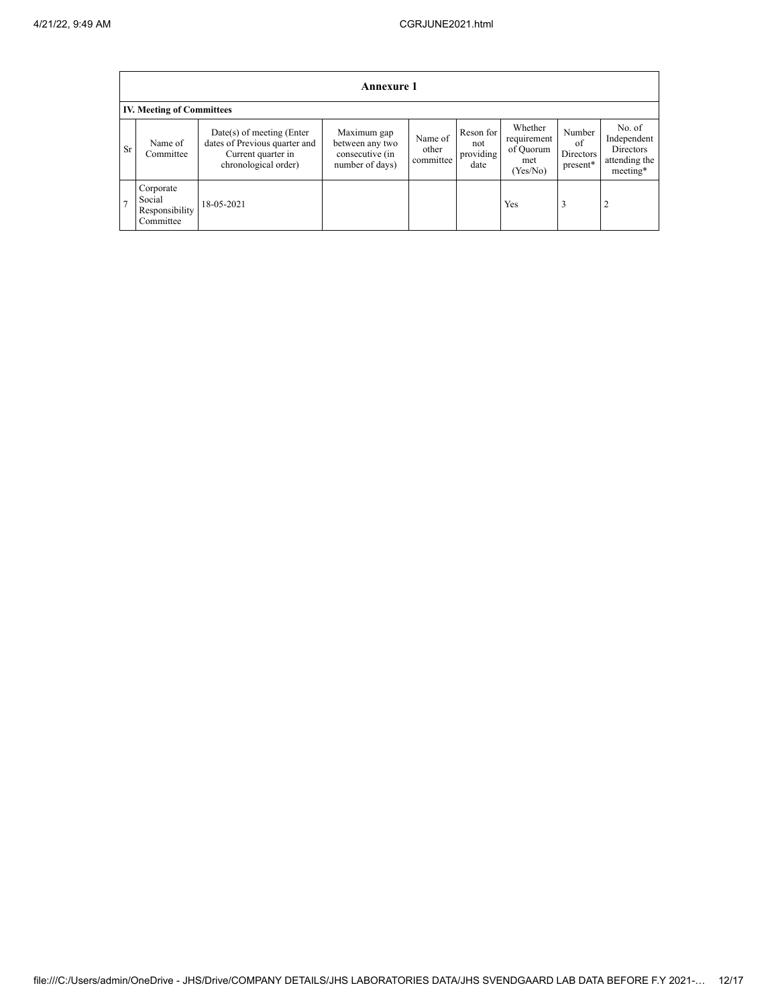|                | <b>Annexure 1</b>                                  |                                                                                                            |                                                                      |                               |                                       |                                                        |                                       |                                                                        |  |  |
|----------------|----------------------------------------------------|------------------------------------------------------------------------------------------------------------|----------------------------------------------------------------------|-------------------------------|---------------------------------------|--------------------------------------------------------|---------------------------------------|------------------------------------------------------------------------|--|--|
|                | <b>IV. Meeting of Committees</b>                   |                                                                                                            |                                                                      |                               |                                       |                                                        |                                       |                                                                        |  |  |
| <b>Sr</b>      | Name of<br>Committee                               | $Date(s)$ of meeting (Enter<br>dates of Previous quarter and<br>Current quarter in<br>chronological order) | Maximum gap<br>between any two<br>consecutive (in<br>number of days) | Name of<br>other<br>committee | Reson for<br>not<br>providing<br>date | Whether<br>requirement<br>of Quorum<br>met<br>(Yes/No) | Number<br>of<br>Directors<br>present* | No. of<br>Independent<br><b>Directors</b><br>attending the<br>meeting* |  |  |
| $\overline{7}$ | Corporate<br>Social<br>Responsibility<br>Committee | 18-05-2021                                                                                                 |                                                                      |                               |                                       | Yes                                                    | 3                                     | $\overline{2}$                                                         |  |  |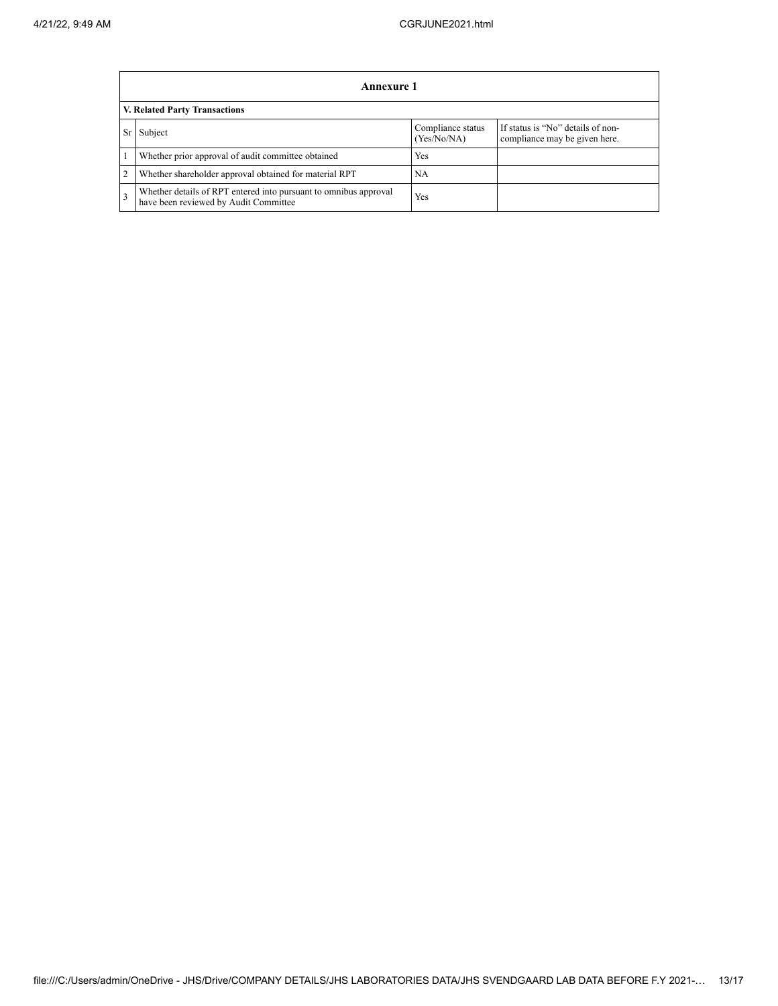Ē

|                               | Annexure 1                                                                                                |                                  |                                                                    |  |  |  |
|-------------------------------|-----------------------------------------------------------------------------------------------------------|----------------------------------|--------------------------------------------------------------------|--|--|--|
| V. Related Party Transactions |                                                                                                           |                                  |                                                                    |  |  |  |
| Sr                            | Subject                                                                                                   | Compliance status<br>(Yes/No/NA) | If status is "No" details of non-<br>compliance may be given here. |  |  |  |
|                               | Whether prior approval of audit committee obtained                                                        | Yes                              |                                                                    |  |  |  |
| $\overline{2}$                | Whether shareholder approval obtained for material RPT                                                    | <b>NA</b>                        |                                                                    |  |  |  |
| 3                             | Whether details of RPT entered into pursuant to omnibus approval<br>have been reviewed by Audit Committee | Yes                              |                                                                    |  |  |  |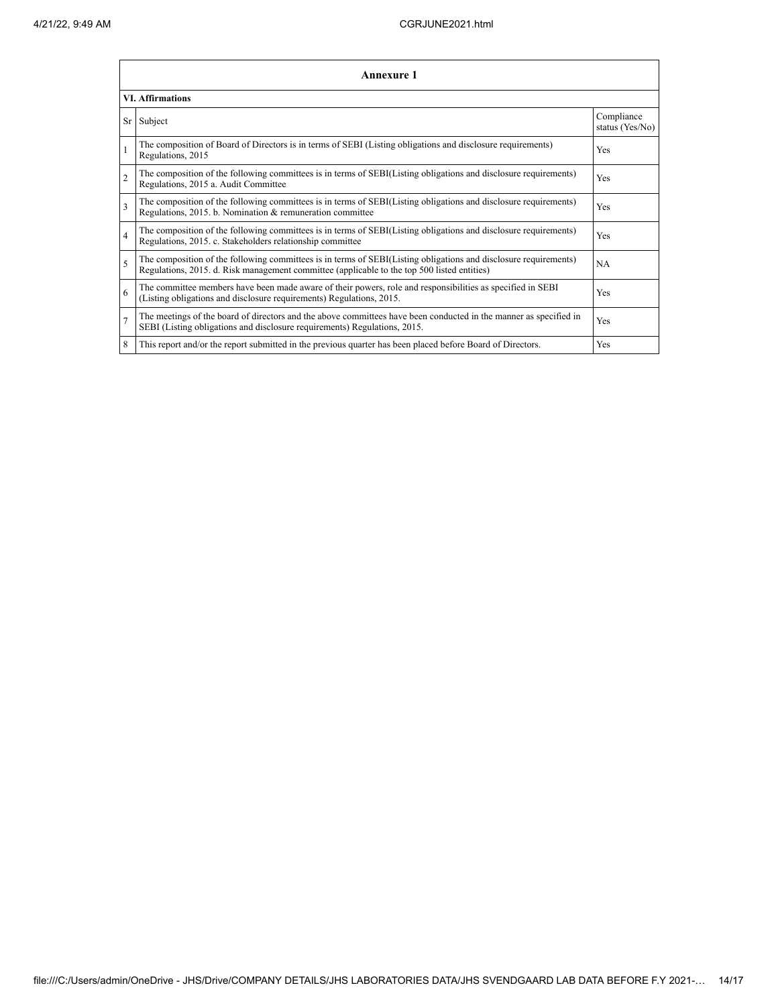|                | Annexure 1                                                                                                                                                                                                      |                               |  |  |  |  |
|----------------|-----------------------------------------------------------------------------------------------------------------------------------------------------------------------------------------------------------------|-------------------------------|--|--|--|--|
|                | <b>VI. Affirmations</b>                                                                                                                                                                                         |                               |  |  |  |  |
| Sr             | Subject                                                                                                                                                                                                         | Compliance<br>status (Yes/No) |  |  |  |  |
|                | The composition of Board of Directors is in terms of SEBI (Listing obligations and disclosure requirements)<br>Regulations, 2015                                                                                | Yes                           |  |  |  |  |
| $\mathfrak{D}$ | The composition of the following committees is in terms of SEBI(Listing obligations and disclosure requirements)<br>Regulations, 2015 a. Audit Committee                                                        | Yes                           |  |  |  |  |
| 3              | The composition of the following committees is in terms of SEBI(Listing obligations and disclosure requirements)<br>Regulations, 2015. b. Nomination & remuneration committee                                   | Yes                           |  |  |  |  |
| $\overline{4}$ | The composition of the following committees is in terms of SEBI(Listing obligations and disclosure requirements)<br>Regulations, 2015. c. Stakeholders relationship committee                                   | Yes                           |  |  |  |  |
| $\overline{5}$ | The composition of the following committees is in terms of SEBI(Listing obligations and disclosure requirements)<br>Regulations, 2015. d. Risk management committee (applicable to the top 500 listed entities) | NA                            |  |  |  |  |
| 6              | The committee members have been made aware of their powers, role and responsibilities as specified in SEBI<br>(Listing obligations and disclosure requirements) Regulations, 2015.                              | Yes                           |  |  |  |  |
| $\overline{7}$ | The meetings of the board of directors and the above committees have been conducted in the manner as specified in<br>SEBI (Listing obligations and disclosure requirements) Regulations, 2015.                  | Yes                           |  |  |  |  |
| 8              | This report and/or the report submitted in the previous quarter has been placed before Board of Directors.                                                                                                      | Yes                           |  |  |  |  |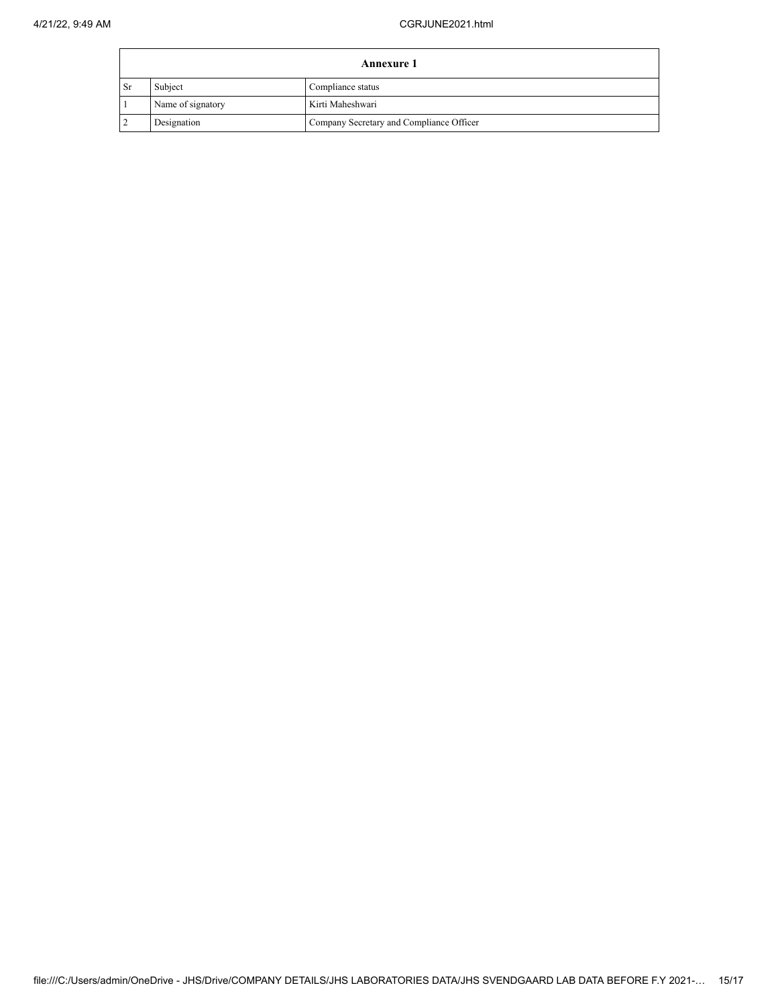$\overline{a}$ 

| <b>Annexure 1</b> |                   |                                          |  |  |
|-------------------|-------------------|------------------------------------------|--|--|
| <b>Sr</b>         | Subject           | Compliance status                        |  |  |
|                   | Name of signatory | Kirti Maheshwari                         |  |  |
|                   | Designation       | Company Secretary and Compliance Officer |  |  |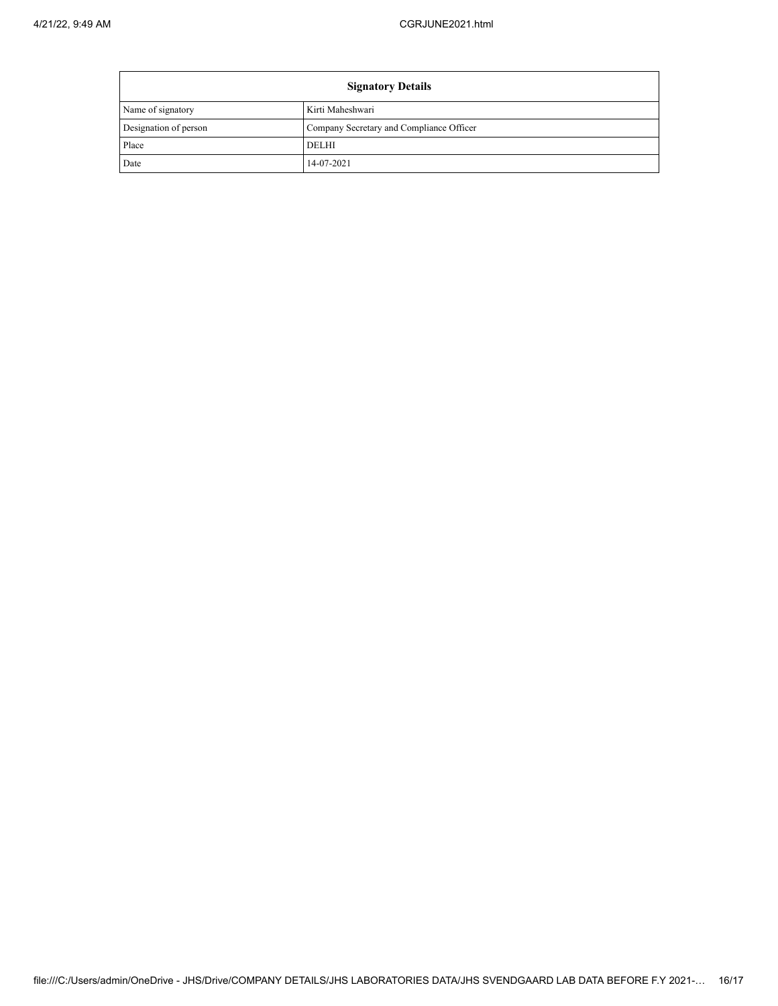| <b>Signatory Details</b> |                                          |  |
|--------------------------|------------------------------------------|--|
| Name of signatory        | Kirti Maheshwari                         |  |
| Designation of person    | Company Secretary and Compliance Officer |  |
| Place                    | <b>DELHI</b>                             |  |
| Date                     | 14-07-2021                               |  |